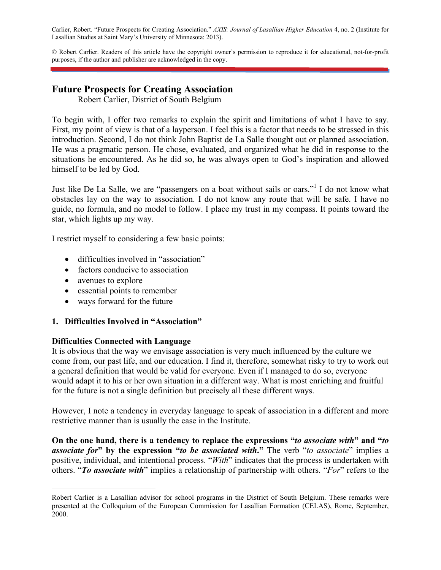Carlier, Robert. "Future Prospects for Creating Association." *AXIS: Journal of Lasallian Higher Education* 4, no. 2 (Institute for Lasallian Studies at Saint Mary's University of Minnesota: 2013).

© Robert Carlier. Readers of this article have the copyright owner's permission to reproduce it for educational, not-for-profit purposes, if the author and publisher are acknowledged in the copy.

# **Future Prospects for Creating Association**

Robert Carlier, District of South Belgium

To begin with, I offer two remarks to explain the spirit and limitations of what I have to say. First, my point of view is that of a layperson. I feel this is a factor that needs to be stressed in this introduction. Second, I do not think John Baptist de La Salle thought out or planned association. He was a pragmatic person. He chose, evaluated, and organized what he did in response to the situations he encountered. As he did so, he was always open to God's inspiration and allowed himself to be led by God.

Just like De La Salle, we are "passengers on a boat without sails or oars."<sup>1</sup> I do not know what obstacles lay on the way to association. I do not know any route that will be safe. I have no guide, no formula, and no model to follow. I place my trust in my compass. It points toward the star, which lights up my way.

I restrict myself to considering a few basic points:

- difficulties involved in "association"
- factors conducive to association
- avenues to explore
- essential points to remember
- ways forward for the future

#### **1. Difficulties Involved in "Association"**

#### **Difficulties Connected with Language**

It is obvious that the way we envisage association is very much influenced by the culture we come from, our past life, and our education. I find it, therefore, somewhat risky to try to work out a general definition that would be valid for everyone. Even if I managed to do so, everyone would adapt it to his or her own situation in a different way. What is most enriching and fruitful for the future is not a single definition but precisely all these different ways.

However, I note a tendency in everyday language to speak of association in a different and more restrictive manner than is usually the case in the Institute.

**On the one hand, there is a tendency to replace the expressions "***to associate with***" and "***to associate for***" by the expression "***to be associated with***."** The verb "*to associate*" implies a positive, individual, and intentional process. "*With*" indicates that the process is undertaken with others. "*To associate with*" implies a relationship of partnership with others. "*For*" refers to the

i Robert Carlier is a Lasallian advisor for school programs in the District of South Belgium. These remarks were presented at the Colloquium of the European Commission for Lasallian Formation (CELAS), Rome, September, 2000.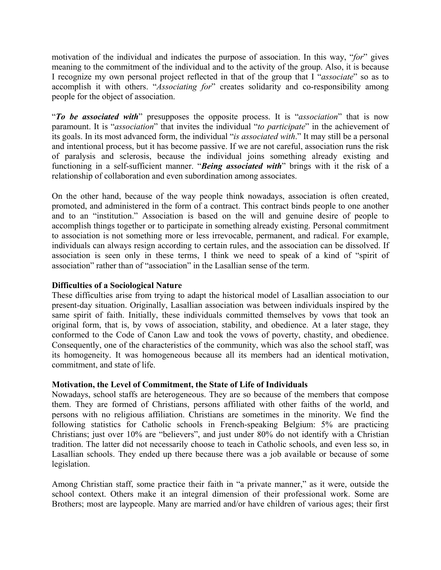motivation of the individual and indicates the purpose of association. In this way, "*for*" gives meaning to the commitment of the individual and to the activity of the group. Also, it is because I recognize my own personal project reflected in that of the group that I "*associate*" so as to accomplish it with others. "*Associating for*" creates solidarity and co-responsibility among people for the object of association.

"*To be associated with*" presupposes the opposite process. It is "*association*" that is now paramount. It is "*association*" that invites the individual "*to participate*" in the achievement of its goals. In its most advanced form, the individual "*is associated with*." It may still be a personal and intentional process, but it has become passive. If we are not careful, association runs the risk of paralysis and sclerosis, because the individual joins something already existing and functioning in a self-sufficient manner. "*Being associated with*" brings with it the risk of a relationship of collaboration and even subordination among associates.

On the other hand, because of the way people think nowadays, association is often created, promoted, and administered in the form of a contract. This contract binds people to one another and to an "institution." Association is based on the will and genuine desire of people to accomplish things together or to participate in something already existing. Personal commitment to association is not something more or less irrevocable, permanent, and radical. For example, individuals can always resign according to certain rules, and the association can be dissolved. If association is seen only in these terms, I think we need to speak of a kind of "spirit of association" rather than of "association" in the Lasallian sense of the term.

#### **Difficulties of a Sociological Nature**

These difficulties arise from trying to adapt the historical model of Lasallian association to our present-day situation. Originally, Lasallian association was between individuals inspired by the same spirit of faith. Initially, these individuals committed themselves by vows that took an original form, that is, by vows of association, stability, and obedience. At a later stage, they conformed to the Code of Canon Law and took the vows of poverty, chastity, and obedience. Consequently, one of the characteristics of the community, which was also the school staff, was its homogeneity. It was homogeneous because all its members had an identical motivation, commitment, and state of life.

#### **Motivation, the Level of Commitment, the State of Life of Individuals**

Nowadays, school staffs are heterogeneous. They are so because of the members that compose them. They are formed of Christians, persons affiliated with other faiths of the world, and persons with no religious affiliation. Christians are sometimes in the minority. We find the following statistics for Catholic schools in French-speaking Belgium: 5% are practicing Christians; just over 10% are "believers", and just under 80% do not identify with a Christian tradition. The latter did not necessarily choose to teach in Catholic schools, and even less so, in Lasallian schools. They ended up there because there was a job available or because of some legislation.

Among Christian staff, some practice their faith in "a private manner," as it were, outside the school context. Others make it an integral dimension of their professional work. Some are Brothers; most are laypeople. Many are married and/or have children of various ages; their first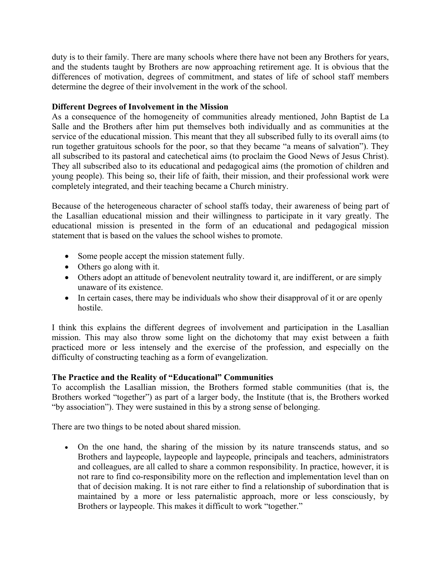duty is to their family. There are many schools where there have not been any Brothers for years, and the students taught by Brothers are now approaching retirement age. It is obvious that the differences of motivation, degrees of commitment, and states of life of school staff members determine the degree of their involvement in the work of the school.

### **Different Degrees of Involvement in the Mission**

As a consequence of the homogeneity of communities already mentioned, John Baptist de La Salle and the Brothers after him put themselves both individually and as communities at the service of the educational mission. This meant that they all subscribed fully to its overall aims (to run together gratuitous schools for the poor, so that they became "a means of salvation"). They all subscribed to its pastoral and catechetical aims (to proclaim the Good News of Jesus Christ). They all subscribed also to its educational and pedagogical aims (the promotion of children and young people). This being so, their life of faith, their mission, and their professional work were completely integrated, and their teaching became a Church ministry.

Because of the heterogeneous character of school staffs today, their awareness of being part of the Lasallian educational mission and their willingness to participate in it vary greatly. The educational mission is presented in the form of an educational and pedagogical mission statement that is based on the values the school wishes to promote.

- Some people accept the mission statement fully.
- Others go along with it.
- Others adopt an attitude of benevolent neutrality toward it, are indifferent, or are simply unaware of its existence.
- In certain cases, there may be individuals who show their disapproval of it or are openly hostile.

I think this explains the different degrees of involvement and participation in the Lasallian mission. This may also throw some light on the dichotomy that may exist between a faith practiced more or less intensely and the exercise of the profession, and especially on the difficulty of constructing teaching as a form of evangelization.

## **The Practice and the Reality of "Educational" Communities**

To accomplish the Lasallian mission, the Brothers formed stable communities (that is, the Brothers worked "together") as part of a larger body, the Institute (that is, the Brothers worked "by association"). They were sustained in this by a strong sense of belonging.

There are two things to be noted about shared mission.

 On the one hand, the sharing of the mission by its nature transcends status, and so Brothers and laypeople, laypeople and laypeople, principals and teachers, administrators and colleagues, are all called to share a common responsibility. In practice, however, it is not rare to find co-responsibility more on the reflection and implementation level than on that of decision making. It is not rare either to find a relationship of subordination that is maintained by a more or less paternalistic approach, more or less consciously, by Brothers or laypeople. This makes it difficult to work "together."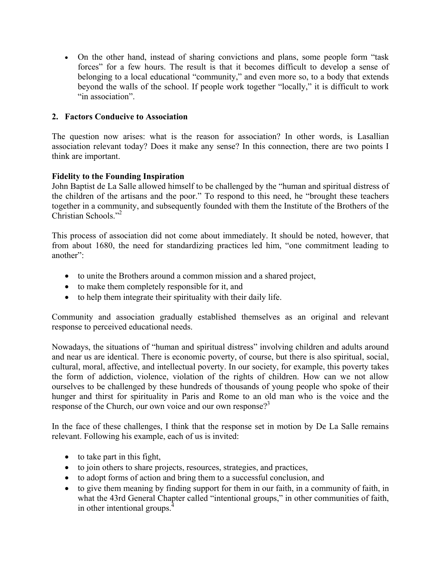On the other hand, instead of sharing convictions and plans, some people form "task forces" for a few hours. The result is that it becomes difficult to develop a sense of belonging to a local educational "community," and even more so, to a body that extends beyond the walls of the school. If people work together "locally," it is difficult to work "in association".

## **2. Factors Conducive to Association**

The question now arises: what is the reason for association? In other words, is Lasallian association relevant today? Does it make any sense? In this connection, there are two points I think are important.

## **Fidelity to the Founding Inspiration**

John Baptist de La Salle allowed himself to be challenged by the "human and spiritual distress of the children of the artisans and the poor." To respond to this need, he "brought these teachers together in a community, and subsequently founded with them the Institute of the Brothers of the Christian Schools."2

This process of association did not come about immediately. It should be noted, however, that from about 1680, the need for standardizing practices led him, "one commitment leading to another":

- to unite the Brothers around a common mission and a shared project,
- to make them completely responsible for it, and
- to help them integrate their spirituality with their daily life.

Community and association gradually established themselves as an original and relevant response to perceived educational needs.

Nowadays, the situations of "human and spiritual distress" involving children and adults around and near us are identical. There is economic poverty, of course, but there is also spiritual, social, cultural, moral, affective, and intellectual poverty. In our society, for example, this poverty takes the form of addiction, violence, violation of the rights of children. How can we not allow ourselves to be challenged by these hundreds of thousands of young people who spoke of their hunger and thirst for spirituality in Paris and Rome to an old man who is the voice and the response of the Church, our own voice and our own response?<sup>3</sup>

In the face of these challenges, I think that the response set in motion by De La Salle remains relevant. Following his example, each of us is invited:

- $\bullet$  to take part in this fight,
- to join others to share projects, resources, strategies, and practices,
- to adopt forms of action and bring them to a successful conclusion, and
- to give them meaning by finding support for them in our faith, in a community of faith, in what the 43rd General Chapter called "intentional groups," in other communities of faith, in other intentional groups.<sup>4</sup>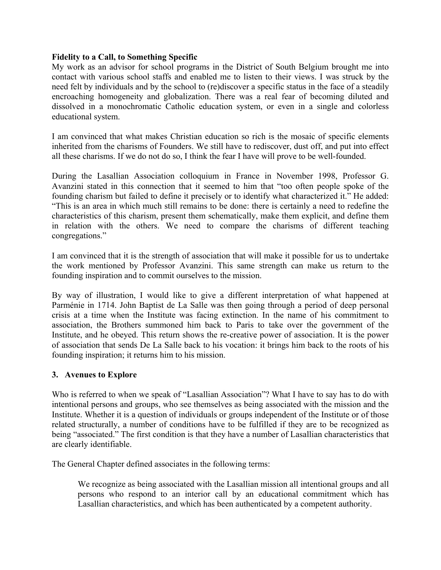#### **Fidelity to a Call, to Something Specific**

My work as an advisor for school programs in the District of South Belgium brought me into contact with various school staffs and enabled me to listen to their views. I was struck by the need felt by individuals and by the school to (re)discover a specific status in the face of a steadily encroaching homogeneity and globalization. There was a real fear of becoming diluted and dissolved in a monochromatic Catholic education system, or even in a single and colorless educational system.

I am convinced that what makes Christian education so rich is the mosaic of specific elements inherited from the charisms of Founders. We still have to rediscover, dust off, and put into effect all these charisms. If we do not do so, I think the fear I have will prove to be well-founded.

During the Lasallian Association colloquium in France in November 1998, Professor G. Avanzini stated in this connection that it seemed to him that "too often people spoke of the founding charism but failed to define it precisely or to identify what characterized it." He added: "This is an area in which much still remains to be done: there is certainly a need to redefine the characteristics of this charism, present them schematically, make them explicit, and define them in relation with the others. We need to compare the charisms of different teaching congregations."

I am convinced that it is the strength of association that will make it possible for us to undertake the work mentioned by Professor Avanzini. This same strength can make us return to the founding inspiration and to commit ourselves to the mission.

By way of illustration, I would like to give a different interpretation of what happened at Parménie in 1714. John Baptist de La Salle was then going through a period of deep personal crisis at a time when the Institute was facing extinction. In the name of his commitment to association, the Brothers summoned him back to Paris to take over the government of the Institute, and he obeyed. This return shows the re-creative power of association. It is the power of association that sends De La Salle back to his vocation: it brings him back to the roots of his founding inspiration; it returns him to his mission.

#### **3. Avenues to Explore**

Who is referred to when we speak of "Lasallian Association"? What I have to say has to do with intentional persons and groups, who see themselves as being associated with the mission and the Institute. Whether it is a question of individuals or groups independent of the Institute or of those related structurally, a number of conditions have to be fulfilled if they are to be recognized as being "associated." The first condition is that they have a number of Lasallian characteristics that are clearly identifiable.

The General Chapter defined associates in the following terms:

We recognize as being associated with the Lasallian mission all intentional groups and all persons who respond to an interior call by an educational commitment which has Lasallian characteristics, and which has been authenticated by a competent authority.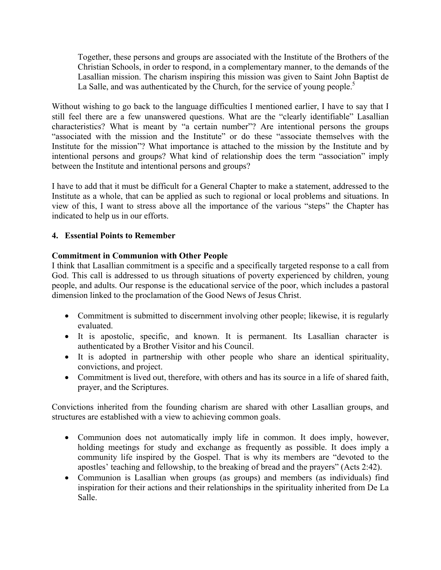Together, these persons and groups are associated with the Institute of the Brothers of the Christian Schools, in order to respond, in a complementary manner, to the demands of the Lasallian mission. The charism inspiring this mission was given to Saint John Baptist de La Salle, and was authenticated by the Church, for the service of young people.<sup>5</sup>

Without wishing to go back to the language difficulties I mentioned earlier, I have to say that I still feel there are a few unanswered questions. What are the "clearly identifiable" Lasallian characteristics? What is meant by "a certain number"? Are intentional persons the groups "associated with the mission and the Institute" or do these "associate themselves with the Institute for the mission"? What importance is attached to the mission by the Institute and by intentional persons and groups? What kind of relationship does the term "association" imply between the Institute and intentional persons and groups?

I have to add that it must be difficult for a General Chapter to make a statement, addressed to the Institute as a whole, that can be applied as such to regional or local problems and situations. In view of this, I want to stress above all the importance of the various "steps" the Chapter has indicated to help us in our efforts.

## **4. Essential Points to Remember**

## **Commitment in Communion with Other People**

I think that Lasallian commitment is a specific and a specifically targeted response to a call from God. This call is addressed to us through situations of poverty experienced by children, young people, and adults. Our response is the educational service of the poor, which includes a pastoral dimension linked to the proclamation of the Good News of Jesus Christ.

- Commitment is submitted to discernment involving other people; likewise, it is regularly evaluated.
- It is apostolic, specific, and known. It is permanent. Its Lasallian character is authenticated by a Brother Visitor and his Council.
- It is adopted in partnership with other people who share an identical spirituality, convictions, and project.
- Commitment is lived out, therefore, with others and has its source in a life of shared faith, prayer, and the Scriptures.

Convictions inherited from the founding charism are shared with other Lasallian groups, and structures are established with a view to achieving common goals.

- Communion does not automatically imply life in common. It does imply, however, holding meetings for study and exchange as frequently as possible. It does imply a community life inspired by the Gospel. That is why its members are "devoted to the apostles' teaching and fellowship, to the breaking of bread and the prayers" (Acts 2:42).
- Communion is Lasallian when groups (as groups) and members (as individuals) find inspiration for their actions and their relationships in the spirituality inherited from De La Salle.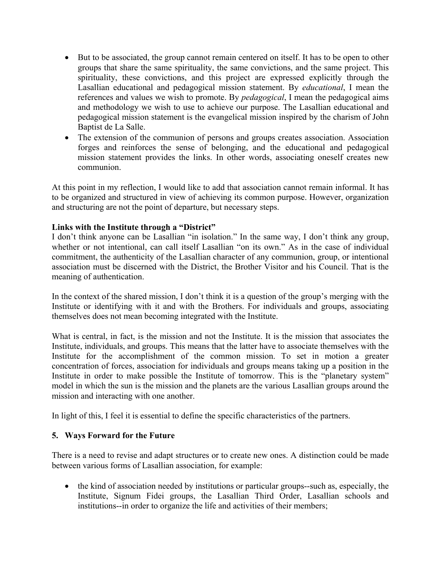- But to be associated, the group cannot remain centered on itself. It has to be open to other groups that share the same spirituality, the same convictions, and the same project. This spirituality, these convictions, and this project are expressed explicitly through the Lasallian educational and pedagogical mission statement. By *educational*, I mean the references and values we wish to promote. By *pedagogical*, I mean the pedagogical aims and methodology we wish to use to achieve our purpose. The Lasallian educational and pedagogical mission statement is the evangelical mission inspired by the charism of John Baptist de La Salle.
- The extension of the communion of persons and groups creates association. Association forges and reinforces the sense of belonging, and the educational and pedagogical mission statement provides the links. In other words, associating oneself creates new communion.

At this point in my reflection, I would like to add that association cannot remain informal. It has to be organized and structured in view of achieving its common purpose. However, organization and structuring are not the point of departure, but necessary steps.

## **Links with the Institute through a "District"**

I don't think anyone can be Lasallian "in isolation." In the same way, I don't think any group, whether or not intentional, can call itself Lasallian "on its own." As in the case of individual commitment, the authenticity of the Lasallian character of any communion, group, or intentional association must be discerned with the District, the Brother Visitor and his Council. That is the meaning of authentication.

In the context of the shared mission, I don't think it is a question of the group's merging with the Institute or identifying with it and with the Brothers. For individuals and groups, associating themselves does not mean becoming integrated with the Institute.

What is central, in fact, is the mission and not the Institute. It is the mission that associates the Institute, individuals, and groups. This means that the latter have to associate themselves with the Institute for the accomplishment of the common mission. To set in motion a greater concentration of forces, association for individuals and groups means taking up a position in the Institute in order to make possible the Institute of tomorrow. This is the "planetary system" model in which the sun is the mission and the planets are the various Lasallian groups around the mission and interacting with one another.

In light of this, I feel it is essential to define the specific characteristics of the partners.

# **5. Ways Forward for the Future**

There is a need to revise and adapt structures or to create new ones. A distinction could be made between various forms of Lasallian association, for example:

• the kind of association needed by institutions or particular groups--such as, especially, the Institute, Signum Fidei groups, the Lasallian Third Order, Lasallian schools and institutions--in order to organize the life and activities of their members;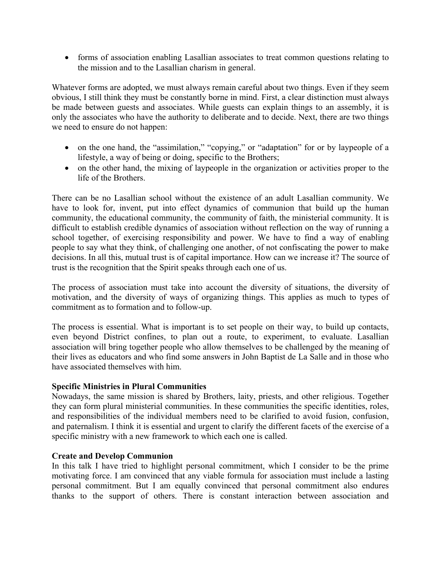forms of association enabling Lasallian associates to treat common questions relating to the mission and to the Lasallian charism in general.

Whatever forms are adopted, we must always remain careful about two things. Even if they seem obvious, I still think they must be constantly borne in mind. First, a clear distinction must always be made between guests and associates. While guests can explain things to an assembly, it is only the associates who have the authority to deliberate and to decide. Next, there are two things we need to ensure do not happen:

- on the one hand, the "assimilation," "copying," or "adaptation" for or by laypeople of a lifestyle, a way of being or doing, specific to the Brothers;
- on the other hand, the mixing of laypeople in the organization or activities proper to the life of the Brothers.

There can be no Lasallian school without the existence of an adult Lasallian community. We have to look for, invent, put into effect dynamics of communion that build up the human community, the educational community, the community of faith, the ministerial community. It is difficult to establish credible dynamics of association without reflection on the way of running a school together, of exercising responsibility and power. We have to find a way of enabling people to say what they think, of challenging one another, of not confiscating the power to make decisions. In all this, mutual trust is of capital importance. How can we increase it? The source of trust is the recognition that the Spirit speaks through each one of us.

The process of association must take into account the diversity of situations, the diversity of motivation, and the diversity of ways of organizing things. This applies as much to types of commitment as to formation and to follow-up.

The process is essential. What is important is to set people on their way, to build up contacts, even beyond District confines, to plan out a route, to experiment, to evaluate. Lasallian association will bring together people who allow themselves to be challenged by the meaning of their lives as educators and who find some answers in John Baptist de La Salle and in those who have associated themselves with him.

#### **Specific Ministries in Plural Communities**

Nowadays, the same mission is shared by Brothers, laity, priests, and other religious. Together they can form plural ministerial communities. In these communities the specific identities, roles, and responsibilities of the individual members need to be clarified to avoid fusion, confusion, and paternalism. I think it is essential and urgent to clarify the different facets of the exercise of a specific ministry with a new framework to which each one is called.

#### **Create and Develop Communion**

In this talk I have tried to highlight personal commitment, which I consider to be the prime motivating force. I am convinced that any viable formula for association must include a lasting personal commitment. But I am equally convinced that personal commitment also endures thanks to the support of others. There is constant interaction between association and